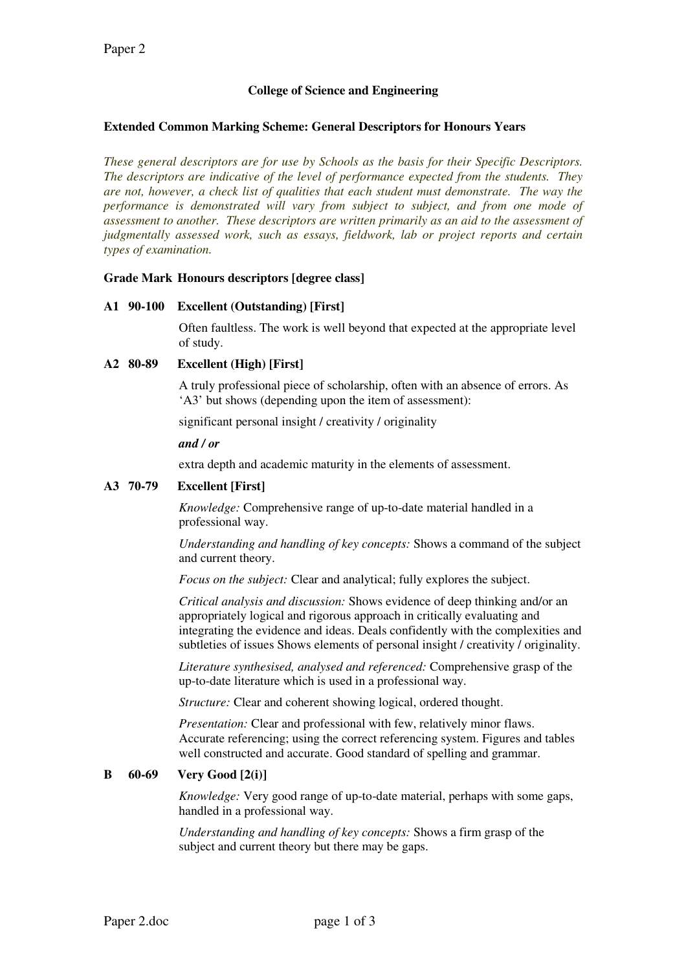# College of Science and Engineering

### Extended Common Marking Scheme: General Descriptors for Honours Years

These general descriptors are for use by Schools as the basis for their Specific Descriptors. The descriptors are indicative of the level of performance expected from the students. They are not, however, a check list of qualities that each student must demonstrate. The way the performance is demonstrated will vary from subject to subject, and from one mode of assessment to another. These descriptors are written primarily as an aid to the assessment of judgmentally assessed work, such as essays, fieldwork, lab or project reports and certain types of examination.

#### Grade Mark Honours descriptors [degree class]

#### A1 90-100 Excellent (Outstanding) [First]

Often faultless. The work is well beyond that expected at the appropriate level of study.

## A2 80-89 Excellent (High) [First]

A truly professional piece of scholarship, often with an absence of errors. As 'A3' but shows (depending upon the item of assessment):

significant personal insight / creativity / originality

#### and / or

extra depth and academic maturity in the elements of assessment.

## A3 70-79 Excellent [First]

Knowledge: Comprehensive range of up-to-date material handled in a professional way.

Understanding and handling of key concepts: Shows a command of the subject and current theory.

Focus on the subject: Clear and analytical; fully explores the subject.

Critical analysis and discussion: Shows evidence of deep thinking and/or an appropriately logical and rigorous approach in critically evaluating and integrating the evidence and ideas. Deals confidently with the complexities and subtleties of issues Shows elements of personal insight / creativity / originality.

Literature synthesised, analysed and referenced: Comprehensive grasp of the up-to-date literature which is used in a professional way.

Structure: Clear and coherent showing logical, ordered thought.

Presentation: Clear and professional with few, relatively minor flaws. Accurate referencing; using the correct referencing system. Figures and tables well constructed and accurate. Good standard of spelling and grammar.

## B 60-69 Very Good [2(i)]

Knowledge: Very good range of up-to-date material, perhaps with some gaps, handled in a professional way.

Understanding and handling of key concepts: Shows a firm grasp of the subject and current theory but there may be gaps.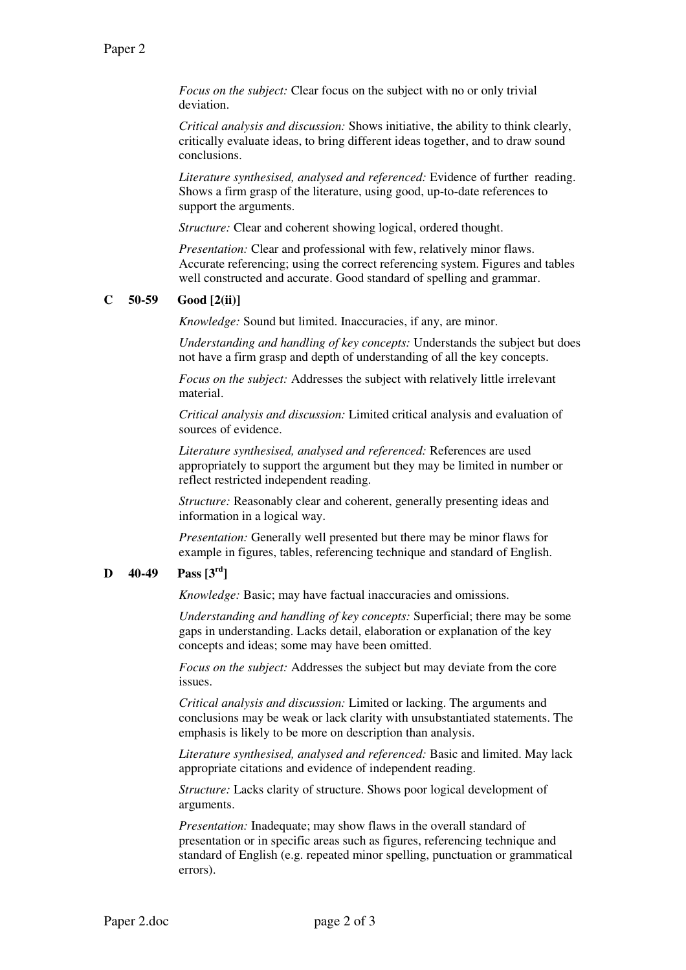Focus on the subject: Clear focus on the subject with no or only trivial deviation.

Critical analysis and discussion: Shows initiative, the ability to think clearly, critically evaluate ideas, to bring different ideas together, and to draw sound conclusions.

Literature synthesised, analysed and referenced: Evidence of further reading. Shows a firm grasp of the literature, using good, up-to-date references to support the arguments.

Structure: Clear and coherent showing logical, ordered thought.

Presentation: Clear and professional with few, relatively minor flaws. Accurate referencing; using the correct referencing system. Figures and tables well constructed and accurate. Good standard of spelling and grammar.

#### $C = 50-59$  Good  $[2(ii)]$

Knowledge: Sound but limited. Inaccuracies, if any, are minor.

Understanding and handling of key concepts: Understands the subject but does not have a firm grasp and depth of understanding of all the key concepts.

Focus on the subject: Addresses the subject with relatively little irrelevant material.

Critical analysis and discussion: Limited critical analysis and evaluation of sources of evidence.

Literature synthesised, analysed and referenced: References are used appropriately to support the argument but they may be limited in number or reflect restricted independent reading.

Structure: Reasonably clear and coherent, generally presenting ideas and information in a logical way.

Presentation: Generally well presented but there may be minor flaws for example in figures, tables, referencing technique and standard of English.

## **D** 40-49 Pass  $[3^{rd}]$

Knowledge: Basic; may have factual inaccuracies and omissions.

Understanding and handling of key concepts: Superficial; there may be some gaps in understanding. Lacks detail, elaboration or explanation of the key concepts and ideas; some may have been omitted.

Focus on the subject: Addresses the subject but may deviate from the core issues.

Critical analysis and discussion: Limited or lacking. The arguments and conclusions may be weak or lack clarity with unsubstantiated statements. The emphasis is likely to be more on description than analysis.

Literature synthesised, analysed and referenced: Basic and limited. May lack appropriate citations and evidence of independent reading.

Structure: Lacks clarity of structure. Shows poor logical development of arguments.

Presentation: Inadequate; may show flaws in the overall standard of presentation or in specific areas such as figures, referencing technique and standard of English (e.g. repeated minor spelling, punctuation or grammatical errors).